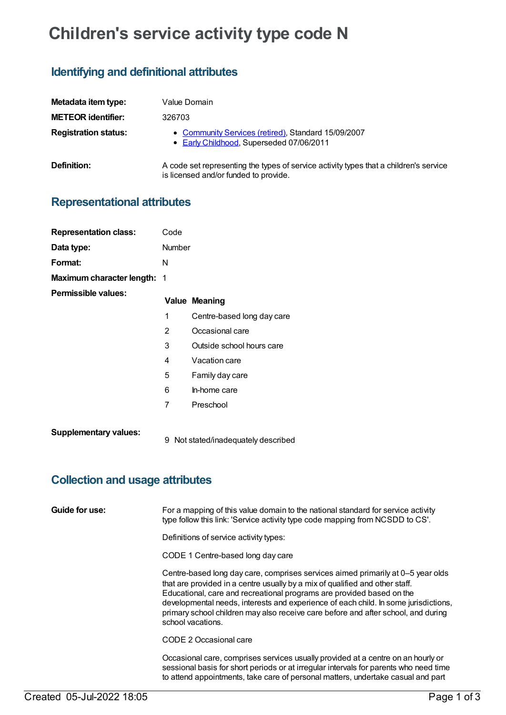# **Children's service activity type code N**

### **Identifying and definitional attributes**

| Metadata item type:         | Value Domain                                                                                                                   |
|-----------------------------|--------------------------------------------------------------------------------------------------------------------------------|
| <b>METEOR identifier:</b>   | 326703                                                                                                                         |
| <b>Registration status:</b> | • Community Services (retired), Standard 15/09/2007<br>• Early Childhood, Superseded 07/06/2011                                |
| Definition:                 | A code set representing the types of service activity types that a children's service<br>is licensed and/or funded to provide. |

## **Representational attributes**

| <b>Representation class:</b> | Code           |                                   |
|------------------------------|----------------|-----------------------------------|
| Data type:                   | Number         |                                   |
| Format:                      | N              |                                   |
| Maximum character length: 1  |                |                                   |
| Permissible values:          |                | <b>Value Meaning</b>              |
|                              | 1              | Centre-based long day care        |
|                              | $\overline{2}$ | Occasional care                   |
|                              | 3              | Outside school hours care         |
|                              | 4              | Vacation care                     |
|                              | 5              | Family day care                   |
|                              | 6              | In-home care                      |
|                              | $\overline{7}$ | Preschool                         |
| <b>Supplementary values:</b> | 9              | Not stated/inadequately described |

## **Collection and usage attributes**

| Guide for use: | For a mapping of this value domain to the national standard for service activity<br>type follow this link: 'Service activity type code mapping from NCSDD to CS'.                                                                                                                                                                                                                                                                         |
|----------------|-------------------------------------------------------------------------------------------------------------------------------------------------------------------------------------------------------------------------------------------------------------------------------------------------------------------------------------------------------------------------------------------------------------------------------------------|
|                | Definitions of service activity types:                                                                                                                                                                                                                                                                                                                                                                                                    |
|                | CODE 1 Centre-based long day care                                                                                                                                                                                                                                                                                                                                                                                                         |
|                | Centre-based long day care, comprises services aimed primarily at 0–5 year olds<br>that are provided in a centre usually by a mix of qualified and other staff.<br>Educational, care and recreational programs are provided based on the<br>developmental needs, interests and experience of each child. In some jurisdictions,<br>primary school children may also receive care before and after school, and during<br>school vacations. |
|                | CODE 2 Occasional care                                                                                                                                                                                                                                                                                                                                                                                                                    |
|                | Occasional care, comprises services usually provided at a centre on an hourly or<br>sessional basis for short periods or at irregular intervals for parents who need time<br>to attend appointments, take care of personal matters, undertake casual and part                                                                                                                                                                             |